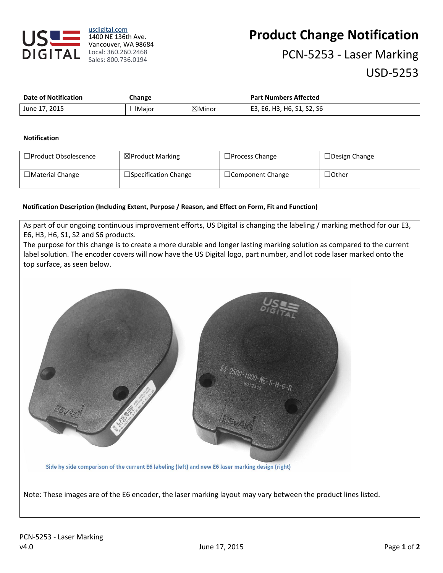

[usdigital.com](http://usdigital.com/) 1400 NE 136th Ave. Vancouver, WA 98684 Local: 360.260.2468 Sales: 800.736.0194

# **Product Change Notification**

# PCN-5253 - Laser Marking USD-5253

| <b>Date of Notification</b> | <b>Change</b> |                   | <b>Part Numbers Affected</b> |
|-----------------------------|---------------|-------------------|------------------------------|
| June 17, 2015               | $\Box$ Major  | $\boxtimes$ Minor | E3, E6, H3, H6, S1, S2, S6   |

#### **Notification**

| $\Box$ Product Obsolescence | $\boxtimes$ Product Marking | $\Box$ Process Change   | $\Box$ Design Change          |
|-----------------------------|-----------------------------|-------------------------|-------------------------------|
| $\Box$ Material Change      | $\Box$ Specification Change | $\Box$ Component Change | $\lrcorner$ Other $\lrcorner$ |

### **Notification Description (Including Extent, Purpose / Reason, and Effect on Form, Fit and Function)**

As part of our ongoing continuous improvement efforts, US Digital is changing the labeling / marking method for our E3, E6, H3, H6, S1, S2 and S6 products.

The purpose for this change is to create a more durable and longer lasting marking solution as compared to the current label solution. The encoder covers will now have the US Digital logo, part number, and lot code laser marked onto the top surface, as seen below.